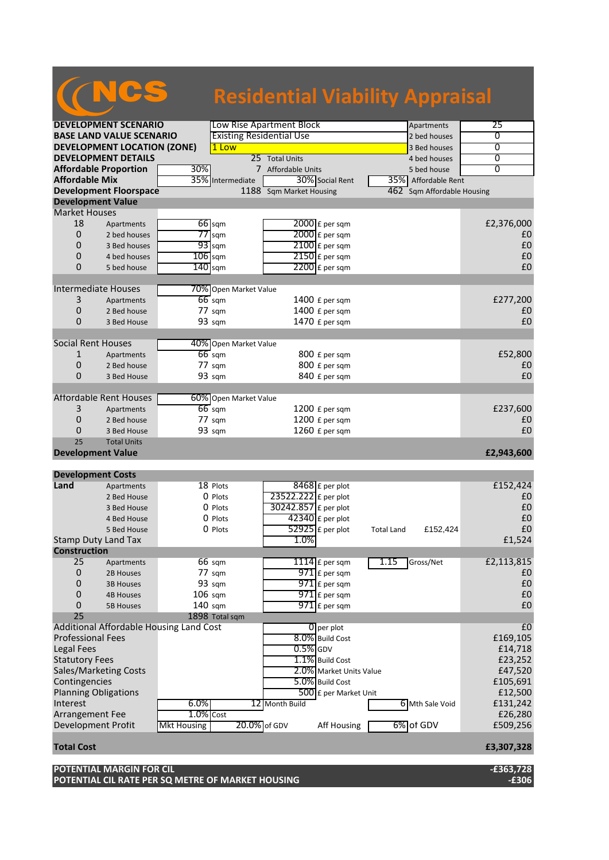# NCS

## **Residential Viability Appraisal**

| <b>DEVELOPMENT SCENARIO</b>                            |                                         |                    | Low Rise Apartment Block        |                         |                         |                   | Apartments                 | 25             |
|--------------------------------------------------------|-----------------------------------------|--------------------|---------------------------------|-------------------------|-------------------------|-------------------|----------------------------|----------------|
| <b>BASE LAND VALUE SCENARIO</b>                        |                                         |                    | <b>Existing Residential Use</b> |                         |                         |                   | 2 bed houses               | 0              |
|                                                        | <b>DEVELOPMENT LOCATION (ZONE)</b>      |                    | 1 Low                           |                         |                         |                   | 3 Bed houses               | $\overline{0}$ |
|                                                        | <b>DEVELOPMENT DETAILS</b>              |                    |                                 | 25 Total Units          |                         |                   | 4 bed houses               | 0              |
|                                                        | <b>Affordable Proportion</b>            | 30%                |                                 | 7 Affordable Units      |                         |                   | 5 bed house                | 0              |
| <b>Affordable Mix</b>                                  |                                         |                    | 35% Intermediate                |                         | 30% Social Rent         | 35%               | Affordable Rent            |                |
|                                                        | <b>Development Floorspace</b>           |                    |                                 | 1188 Sqm Market Housing |                         |                   | 462 Sqm Affordable Housing |                |
| <b>Development Value</b>                               |                                         |                    |                                 |                         |                         |                   |                            |                |
| <b>Market Houses</b>                                   |                                         |                    |                                 |                         |                         |                   |                            |                |
| 18                                                     | Apartments                              |                    | 66 sqm                          |                         | 2000 £ per sqm          |                   |                            | £2,376,000     |
| 0                                                      | 2 bed houses                            |                    | $77$ sqm                        |                         | $2000$ £ per sqm        |                   |                            | £0             |
| 0                                                      | 3 Bed houses                            |                    | $93$ sqm                        |                         | 2100 £ per sqm          |                   |                            | £0             |
| 0                                                      | 4 bed houses                            | $106$ sqm          |                                 |                         | $2150$ £ per sqm        |                   |                            | £0             |
| 0                                                      | 5 bed house                             | $140$ sqm          |                                 |                         | $2200$ £ per sqm        |                   |                            | £0             |
|                                                        |                                         |                    |                                 |                         |                         |                   |                            |                |
| Intermediate Houses                                    |                                         |                    | 70% Open Market Value           |                         |                         |                   |                            |                |
| 3                                                      | Apartments                              |                    | $66$ sqm                        |                         | 1400 £ per sqm          |                   |                            | £277,200       |
| 0                                                      | 2 Bed house                             |                    | 77 sqm                          |                         | 1400 £ per sqm          |                   |                            | £0             |
| 0                                                      | 3 Bed House                             |                    | 93 sqm                          |                         | 1470 £ per sqm          |                   |                            | £0             |
|                                                        |                                         |                    |                                 |                         |                         |                   |                            |                |
| <b>Social Rent Houses</b>                              |                                         |                    | 40% Open Market Value           |                         |                         |                   |                            |                |
| $\mathbf{1}$                                           | Apartments                              |                    | $66$ sqm                        |                         | 800 £ per sqm           |                   |                            | £52,800        |
| 0                                                      | 2 Bed house                             |                    | $77 \text{ s}$ gm               |                         | 800 £ per sqm           |                   |                            | £0             |
| 0                                                      | 3 Bed House                             |                    | 93 sqm                          |                         | 840 £ per sqm           |                   |                            | £0             |
|                                                        |                                         |                    |                                 |                         |                         |                   |                            |                |
| <b>Affordable Rent Houses</b><br>60% Open Market Value |                                         |                    |                                 |                         |                         |                   |                            |                |
| 3                                                      | Apartments                              |                    | $66$ sqm                        |                         | 1200 £ per sqm          |                   |                            | £237,600       |
| 0                                                      | 2 Bed house                             |                    | $77 \text{ sqm}$                |                         | 1200 £ per sqm          |                   |                            | £0             |
| 0                                                      |                                         |                    | 93 sqm                          |                         | 1260 £ per sqm          |                   |                            | £0             |
| 25                                                     | 3 Bed House                             |                    |                                 |                         |                         |                   |                            |                |
|                                                        | <b>Total Units</b>                      |                    |                                 |                         |                         |                   |                            |                |
| <b>Development Value</b>                               |                                         |                    |                                 |                         |                         |                   |                            | £2,943,600     |
| <b>Development Costs</b>                               |                                         |                    |                                 |                         |                         |                   |                            |                |
| Land                                                   | Apartments                              |                    | 18 Plots                        |                         | $8468$ £ per plot       |                   |                            | £152,424       |
|                                                        | 2 Bed House                             |                    | 0 Plots                         | 23522.222 £ per plot    |                         |                   |                            | £0             |
|                                                        | 3 Bed House                             |                    | 0 Plots                         | 30242.857 £ per plot    |                         |                   |                            | £0             |
|                                                        | 4 Bed House                             |                    | 0 Plots                         |                         | $42340$ £ per plot      |                   |                            | £0             |
|                                                        | 5 Bed House                             |                    | 0 Plots                         |                         | $52925$ £ per plot      |                   |                            | £0             |
|                                                        |                                         |                    |                                 | 1.0%                    |                         | <b>Total Land</b> | £152,424                   | £1,524         |
| <b>Stamp Duty Land Tax</b><br><b>Construction</b>      |                                         |                    |                                 |                         |                         |                   |                            |                |
| 25                                                     |                                         |                    |                                 |                         |                         | 1.15              |                            |                |
| 0                                                      | Apartments                              |                    | $66 \text{ sqm}$                |                         | 1114 $E$ per sqm        |                   | Gross/Net                  | £2,113,815     |
|                                                        | 2B Houses                               |                    | 77 sqm                          |                         | $971$ $E$ per sqm       |                   |                            | £0             |
| 0                                                      | <b>3B Houses</b>                        |                    | 93 sqm                          |                         | 971 £ per sqm           |                   |                            | £0             |
| 0                                                      | <b>4B Houses</b>                        | $106$ sqm          |                                 |                         | $971$ $E$ per sqm       |                   |                            | £0             |
| 0                                                      | <b>5B Houses</b>                        | $140$ sqm          |                                 |                         | 971 £ per sqm           |                   |                            | £0             |
| 25                                                     |                                         |                    | 1898 Total sqm                  |                         |                         |                   |                            |                |
|                                                        | Additional Affordable Housing Land Cost |                    |                                 |                         | 0 per plot              |                   |                            | £0             |
| <b>Professional Fees</b>                               |                                         |                    |                                 |                         | 8.0% Build Cost         |                   |                            | £169,105       |
| Legal Fees                                             |                                         |                    |                                 | $0.5%$ GDV              |                         |                   |                            | £14,718        |
| <b>Statutory Fees</b>                                  |                                         |                    |                                 | 1.1% Build Cost         |                         |                   | £23,252                    |                |
| <b>Sales/Marketing Costs</b>                           |                                         |                    |                                 |                         | 2.0% Market Units Value |                   |                            | £47,520        |
| Contingencies                                          |                                         |                    |                                 |                         | 5.0% Build Cost         |                   |                            | £105,691       |
| <b>Planning Obligations</b>                            |                                         |                    |                                 |                         | 500 £ per Market Unit   |                   |                            | £12,500        |
| Interest<br>6.0%                                       |                                         |                    |                                 | 12 Month Build          |                         |                   | 6 Mth Sale Void            | £131,242       |
| Arrangement Fee                                        |                                         | $1.0%$ Cost        |                                 |                         |                         |                   |                            | £26,280        |
| Development Profit                                     |                                         | <b>Mkt Housing</b> | 20.0% of GDV                    |                         | Aff Housing             | 6% of GDV         |                            | £509,256       |
|                                                        |                                         |                    |                                 |                         |                         |                   |                            |                |
| <b>Total Cost</b>                                      |                                         |                    |                                 |                         |                         |                   |                            | £3,307,328     |

**POTENTIAL MARGIN FOR CIL -£363,728 POTENTIAL CIL RATE PER SQ METRE OF MARKET HOUSING -£306**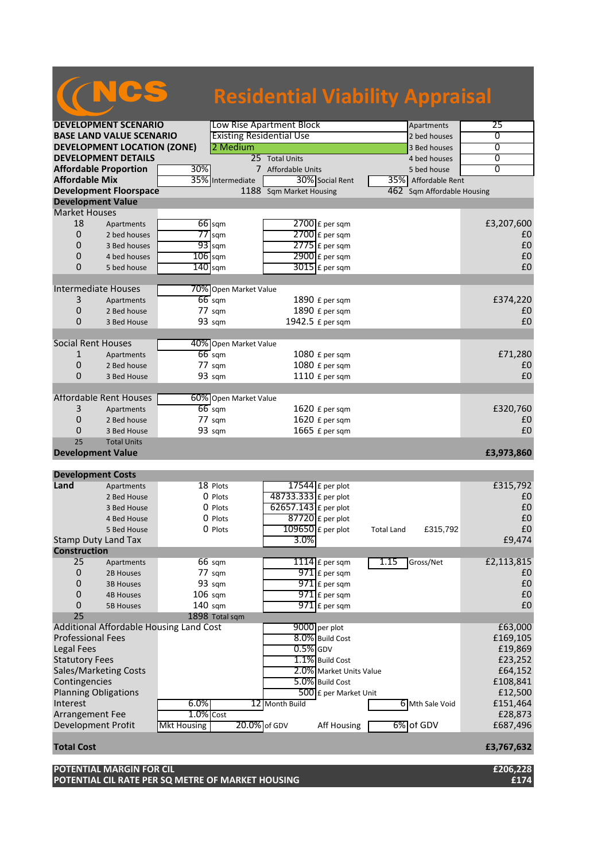# NCS

### **Residential Viability Appraisal**

| <b>DEVELOPMENT SCENARIO</b>                            |                                         |                    |                                 | Low Rise Apartment Block | Apartments        | 25                         |                  |
|--------------------------------------------------------|-----------------------------------------|--------------------|---------------------------------|--------------------------|-------------------|----------------------------|------------------|
| <b>BASE LAND VALUE SCENARIO</b>                        |                                         |                    | <b>Existing Residential Use</b> |                          |                   | 2 bed houses               | 0                |
|                                                        | <b>DEVELOPMENT LOCATION (ZONE)</b>      |                    | 2 Medium                        |                          |                   | 3 Bed houses               | $\overline{0}$   |
|                                                        | <b>DEVELOPMENT DETAILS</b>              |                    |                                 | 25 Total Units           |                   | 4 bed houses               | 0                |
|                                                        | <b>Affordable Proportion</b>            | 30%                |                                 | 7 Affordable Units       |                   | 5 bed house                | 0                |
| <b>Affordable Mix</b>                                  |                                         |                    | 35% Intermediate                | 30% Social Rent          | 35%               | Affordable Rent            |                  |
|                                                        | <b>Development Floorspace</b>           |                    |                                 | 1188 Sqm Market Housing  |                   | 462 Sqm Affordable Housing |                  |
| <b>Development Value</b>                               |                                         |                    |                                 |                          |                   |                            |                  |
| <b>Market Houses</b>                                   |                                         |                    |                                 |                          |                   |                            |                  |
| 18                                                     | Apartments                              |                    | 66 sqm                          | 2700 £ per sqm           |                   |                            | £3,207,600       |
| 0                                                      | 2 bed houses                            |                    | $77$ sqm                        | $2700$ £ per sqm         |                   |                            | £0               |
| 0                                                      | 3 Bed houses                            |                    | $93$ sqm                        | $2775$ $E$ per sqm       |                   |                            | £0               |
| 0                                                      | 4 bed houses                            | $106$ sqm          |                                 | $2900$ £ per sqm         |                   |                            | £0               |
| 0                                                      | 5 bed house                             | $140$ sqm          |                                 | $3015$ £ per sqm         |                   |                            | £0               |
|                                                        |                                         |                    |                                 |                          |                   |                            |                  |
| Intermediate Houses                                    |                                         |                    | 70% Open Market Value           |                          |                   |                            |                  |
| 3                                                      | Apartments                              |                    | $66$ sqm                        | 1890 £ per sqm           |                   |                            | £374,220         |
| 0                                                      | 2 Bed house                             |                    | 77 sqm                          | 1890 £ per sqm           |                   |                            | £0               |
| 0                                                      | 3 Bed House                             |                    | 93 sqm                          | 1942.5 £ per sqm         |                   |                            | £0               |
|                                                        |                                         |                    |                                 |                          |                   |                            |                  |
| <b>Social Rent Houses</b>                              |                                         |                    | 40% Open Market Value           |                          |                   |                            |                  |
| $\mathbf{1}$                                           | Apartments                              |                    | $66$ sqm                        | 1080 £ per sqm           |                   |                            | £71,280          |
| 0                                                      | 2 Bed house                             |                    | $77 \text{ s}$ gm               | 1080 £ per sqm           |                   |                            | £0               |
| 0                                                      | 3 Bed House                             |                    | 93 sqm                          | 1110 £ per sqm           |                   |                            | £0               |
|                                                        |                                         |                    |                                 |                          |                   |                            |                  |
| <b>Affordable Rent Houses</b><br>60% Open Market Value |                                         |                    |                                 |                          |                   |                            |                  |
| 3                                                      | Apartments                              |                    | $66$ sqm                        | 1620 £ per sqm           |                   |                            | £320,760         |
| 0                                                      | 2 Bed house                             |                    | $77 \text{ sqm}$                | 1620 £ per sqm           |                   |                            | £0               |
| 0                                                      |                                         |                    | 93 sqm                          | 1665 £ per sqm           |                   |                            | £0               |
| 25                                                     | 3 Bed House                             |                    |                                 |                          |                   |                            |                  |
|                                                        | <b>Total Units</b>                      |                    |                                 |                          |                   |                            |                  |
| <b>Development Value</b>                               |                                         |                    |                                 |                          |                   |                            | £3,973,860       |
| <b>Development Costs</b>                               |                                         |                    |                                 |                          |                   |                            |                  |
| Land                                                   | Apartments                              |                    | 18 Plots                        | 17544 $E$ per plot       |                   |                            | £315,792         |
|                                                        | 2 Bed House                             |                    | 0 Plots                         | 48733.333 £ per plot     |                   |                            | £0               |
|                                                        | 3 Bed House                             |                    | 0 Plots                         | 62657.143 £ per plot     |                   |                            | £0               |
|                                                        | 4 Bed House                             |                    | 0 Plots                         | $87720$ £ per plot       |                   |                            | £0               |
|                                                        | 5 Bed House                             |                    | 0 Plots                         | 109650 £ per plot        |                   |                            | £0               |
| <b>Stamp Duty Land Tax</b>                             |                                         |                    |                                 | 3.0%                     | <b>Total Land</b> | £315,792                   | £9,474           |
| <b>Construction</b>                                    |                                         |                    |                                 |                          |                   |                            |                  |
| 25                                                     | Apartments                              |                    | $66 \text{ sqm}$                |                          | 1.15              | Gross/Net                  |                  |
| 0                                                      |                                         |                    |                                 | 1114 $E$ per sqm         |                   |                            | £2,113,815<br>£0 |
|                                                        | 2B Houses                               |                    | 77 sqm                          | $971$ $E$ per sqm        |                   |                            |                  |
| 0                                                      | <b>3B Houses</b>                        |                    | 93 sqm                          | 971 £ per sqm            |                   |                            | £0               |
| 0                                                      | <b>4B Houses</b>                        | $106$ sqm          |                                 | $971$ $E$ per sqm        |                   |                            | £0               |
| 0                                                      | <b>5B Houses</b>                        | $140$ sqm          |                                 | 971 £ per sqm            |                   |                            | £0               |
| 25                                                     |                                         |                    | 1898 Total sqm                  |                          |                   |                            |                  |
|                                                        | Additional Affordable Housing Land Cost |                    |                                 | 9000 per plot            |                   |                            | £63,000          |
| <b>Professional Fees</b>                               |                                         |                    | 8.0% Build Cost                 |                          |                   | £169,105                   |                  |
| Legal Fees                                             |                                         |                    |                                 | $0.5%$ GDV               |                   |                            | £19,869          |
| <b>Statutory Fees</b>                                  |                                         |                    |                                 | 1.1% Build Cost          |                   |                            | £23,252          |
| <b>Sales/Marketing Costs</b>                           |                                         |                    |                                 | 2.0% Market Units Value  |                   |                            | £64,152          |
| Contingencies                                          |                                         |                    |                                 | 5.0% Build Cost          |                   |                            | £108,841         |
| <b>Planning Obligations</b>                            |                                         |                    |                                 | 500 £ per Market Unit    |                   |                            | £12,500          |
| Interest                                               |                                         | 6.0%               |                                 | 12 Month Build           |                   | 6 Mth Sale Void            | £151,464         |
| Arrangement Fee                                        |                                         | $1.0%$ Cost        |                                 |                          |                   |                            | £28,873          |
| Development Profit                                     |                                         | <b>Mkt Housing</b> | 20.0% of GDV                    | Aff Housing              |                   | 6% of GDV                  | £687,496         |
| <b>Total Cost</b>                                      |                                         |                    |                                 |                          |                   |                            | £3,767,632       |

**POTENTIAL MARGIN FOR CIL £206,228 POTENTIAL CIL RATE PER SQ METRE OF MARKET HOUSING £174**